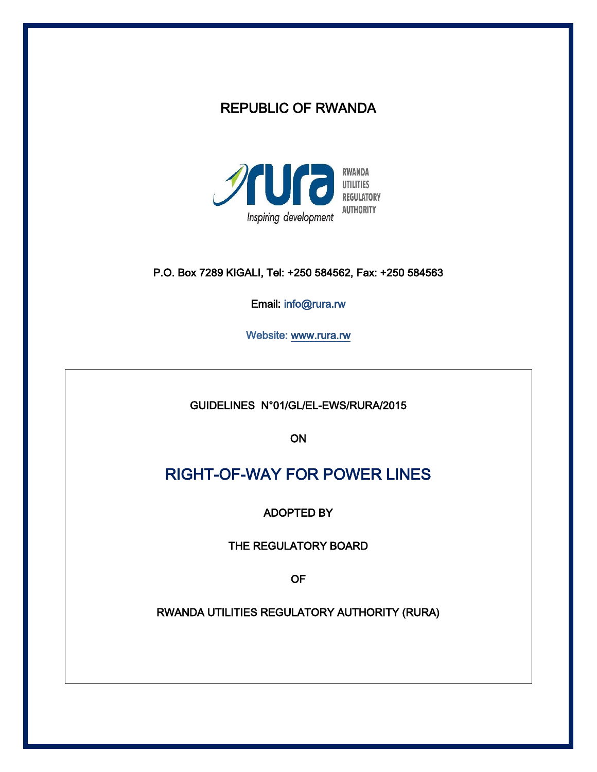# REPUBLIC OF RWANDA



# P.O. Box 7289 KIGALI, Tel: +250 584562, Fax: +250 584563

Email: info@rura.rw

Website: [www.rura.rw](http://www.rura.rw/)

GUIDELINES N°01/GL/EL-EWS/RURA/2015

ON

# RIGHT-OF-WAY FOR POWER LINES

ADOPTED BY

THE REGULATORY BOARD

OF

RWANDA UTILITIES REGULATORY AUTHORITY (RURA)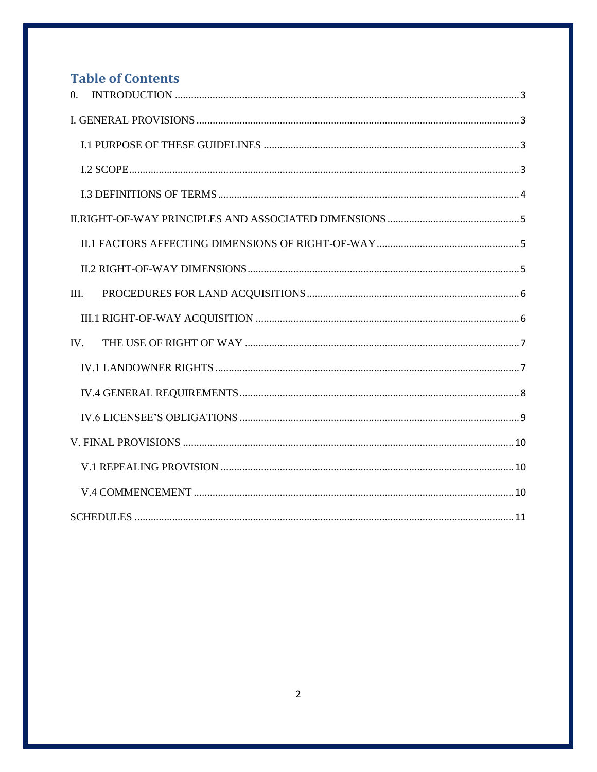# **Table of Contents**

| $\theta$ . |
|------------|
|            |
|            |
|            |
|            |
|            |
|            |
|            |
| III.       |
|            |
| IV.        |
|            |
|            |
|            |
|            |
|            |
|            |
|            |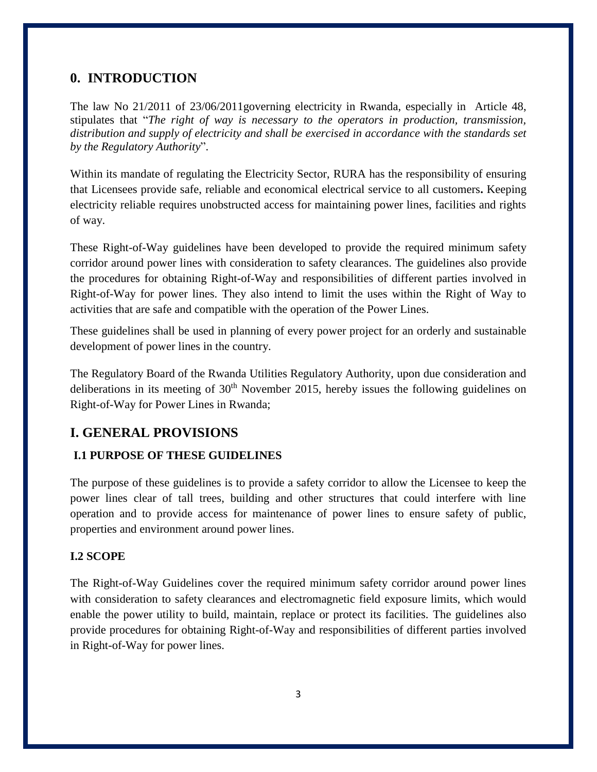# <span id="page-2-0"></span>**0. INTRODUCTION**

The law No 21/2011 of 23/06/2011governing electricity in Rwanda, especially in Article 48, stipulates that "*The right of way is necessary to the operators in production, transmission, distribution and supply of electricity and shall be exercised in accordance with the standards set by the Regulatory Authority*".

Within its mandate of regulating the Electricity Sector, RURA has the responsibility of ensuring that Licensees provide safe, reliable and economical electrical service to all customers**.** Keeping electricity reliable requires unobstructed access for maintaining power lines, facilities and rights of way.

These Right-of-Way guidelines have been developed to provide the required minimum safety corridor around power lines with consideration to safety clearances. The guidelines also provide the procedures for obtaining Right-of-Way and responsibilities of different parties involved in Right-of-Way for power lines. They also intend to limit the uses within the Right of Way to activities that are safe and compatible with the operation of the Power Lines.

These guidelines shall be used in planning of every power project for an orderly and sustainable development of power lines in the country.

The Regulatory Board of the Rwanda Utilities Regulatory Authority, upon due consideration and deliberations in its meeting of  $30<sup>th</sup>$  November 2015, hereby issues the following guidelines on Right-of-Way for Power Lines in Rwanda;

# <span id="page-2-1"></span>**I. GENERAL PROVISIONS**

### <span id="page-2-2"></span>**I.1 PURPOSE OF THESE GUIDELINES**

The purpose of these guidelines is to provide a safety corridor to allow the Licensee to keep the power lines clear of tall trees, building and other structures that could interfere with line operation and to provide access for maintenance of power lines to ensure safety of public, properties and environment around power lines.

#### <span id="page-2-3"></span>**I.2 SCOPE**

The Right-of-Way Guidelines cover the required minimum safety corridor around power lines with consideration to safety clearances and electromagnetic field exposure limits, which would enable the power utility to build, maintain, replace or protect its facilities. The guidelines also provide procedures for obtaining Right-of-Way and responsibilities of different parties involved in Right-of-Way for power lines.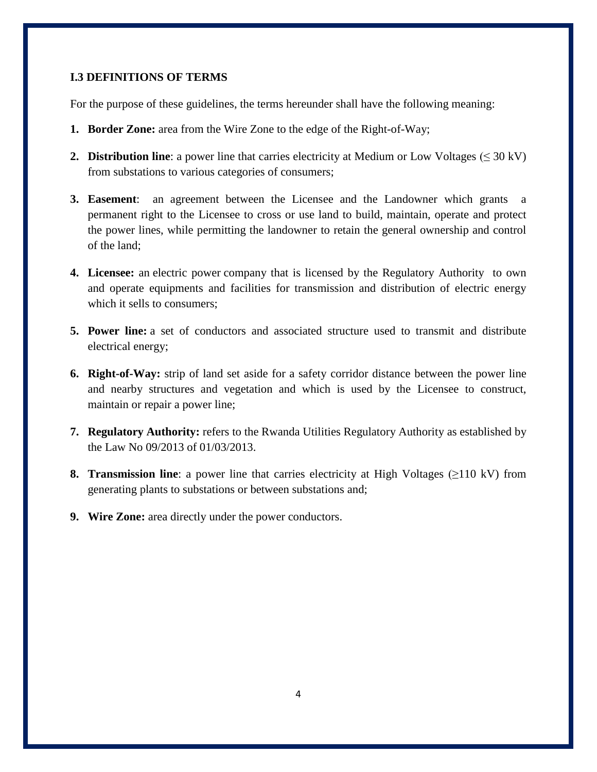#### <span id="page-3-0"></span>**I.3 DEFINITIONS OF TERMS**

For the purpose of these guidelines, the terms hereunder shall have the following meaning:

- **1. Border Zone:** area from the Wire Zone to the edge of the Right-of-Way;
- **2. Distribution line**: a power line that carries electricity at Medium or Low Voltages ( $\leq 30 \text{ kV}$ ) from substations to various categories of consumers;
- **3. Easement**: an agreement between the Licensee and the Landowner which grants a permanent right to the Licensee to cross or use land to build, maintain, operate and protect the power lines, while permitting the landowner to retain the general ownership and control of the land;
- **4. Licensee:** an [electric power](http://en.wikipedia.org/wiki/Electric_power_industry) company that is licensed by the Regulatory Authority to own and operate equipments and facilities for transmission and distribution of electric energy which it sells to consumers;
- **5. Power line:** a set of conductors and associated structure used to transmit and distribute electrical energy;
- **6. Right-of-Way:** strip of land set aside for a safety corridor distance between the power line and nearby structures and vegetation and which is used by the Licensee to construct, maintain or repair a power line;
- **7. Regulatory Authority:** refers to the Rwanda Utilities Regulatory Authority as established by the Law No 09/2013 of 01/03/2013.
- **8. Transmission line**: a power line that carries electricity at High Voltages (≥110 kV) from generating plants to substations or between substations and;
- **9. Wire Zone:** area directly under the power conductors.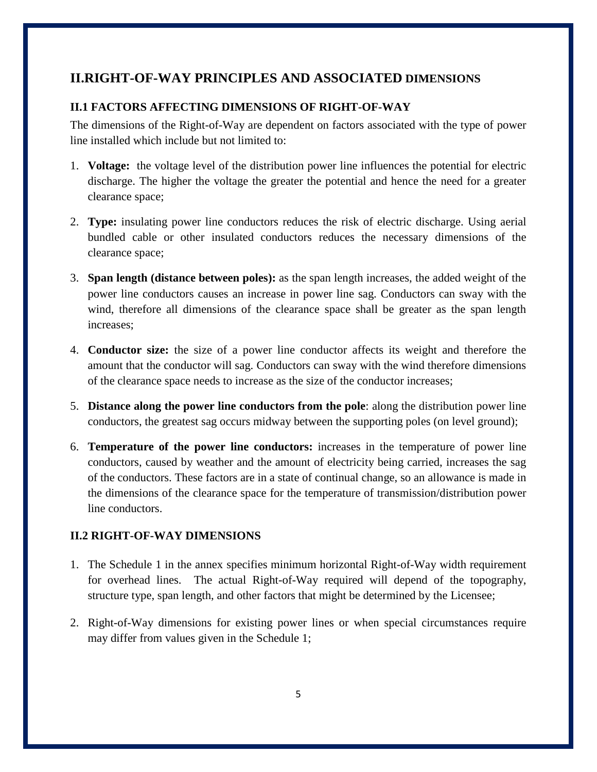# <span id="page-4-0"></span>**II.RIGHT-OF-WAY PRINCIPLES AND ASSOCIATED DIMENSIONS**

### <span id="page-4-1"></span>**II.1 FACTORS AFFECTING DIMENSIONS OF RIGHT-OF-WAY**

The dimensions of the Right-of-Way are dependent on factors associated with the type of power line installed which include but not limited to:

- 1. **Voltage:** the voltage level of the distribution power line influences the potential for electric discharge. The higher the voltage the greater the potential and hence the need for a greater clearance space;
- 2. **Type:** insulating power line conductors reduces the risk of electric discharge. Using aerial bundled cable or other insulated conductors reduces the necessary dimensions of the clearance space;
- 3. **Span length (distance between poles):** as the span length increases, the added weight of the power line conductors causes an increase in power line sag. Conductors can sway with the wind, therefore all dimensions of the clearance space shall be greater as the span length increases;
- 4. **Conductor size:** the size of a power line conductor affects its weight and therefore the amount that the conductor will sag. Conductors can sway with the wind therefore dimensions of the clearance space needs to increase as the size of the conductor increases;
- 5. **Distance along the power line conductors from the pole**: along the distribution power line conductors, the greatest sag occurs midway between the supporting poles (on level ground);
- 6. **Temperature of the power line conductors:** increases in the temperature of power line conductors, caused by weather and the amount of electricity being carried, increases the sag of the conductors. These factors are in a state of continual change, so an allowance is made in the dimensions of the clearance space for the temperature of transmission/distribution power line conductors.

### <span id="page-4-2"></span>**II.2 RIGHT-OF-WAY DIMENSIONS**

- 1. The Schedule 1 in the annex specifies minimum horizontal Right-of-Way width requirement for overhead lines. The actual Right-of-Way required will depend of the topography, structure type, span length, and other factors that might be determined by the Licensee;
- 2. Right-of-Way dimensions for existing power lines or when special circumstances require may differ from values given in the Schedule 1;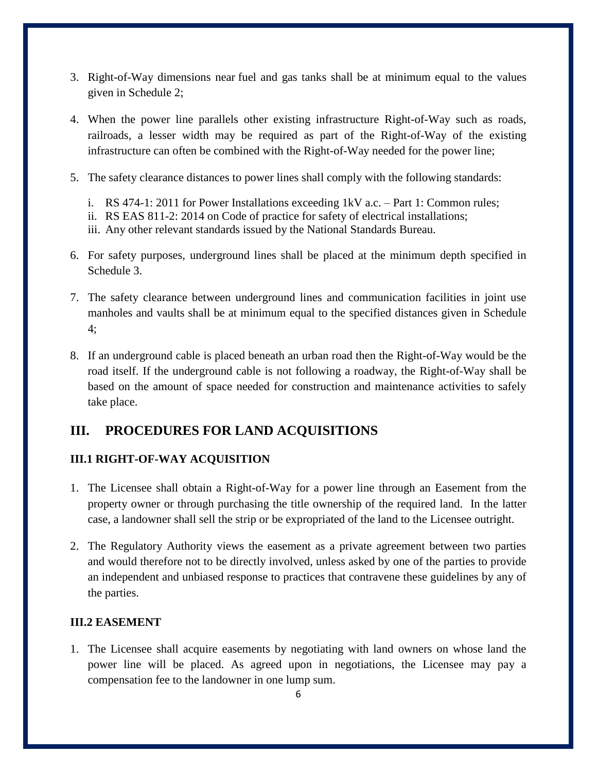- 3. Right-of-Way dimensions near fuel and gas tanks shall be at minimum equal to the values given in Schedule 2;
- 4. When the power line parallels other existing infrastructure Right-of-Way such as roads, railroads, a lesser width may be required as part of the Right-of-Way of the existing infrastructure can often be combined with the Right-of-Way needed for the power line;
- 5. The safety clearance distances to power lines shall comply with the following standards:
	- i. RS 474-1: 2011 for Power Installations exceeding 1kV a.c. Part 1: Common rules;
	- ii. RS EAS 811-2: 2014 on Code of practice for safety of electrical installations;
	- iii. Any other relevant standards issued by the National Standards Bureau.
- 6. For safety purposes, underground lines shall be placed at the minimum depth specified in Schedule 3.
- 7. The safety clearance between underground lines and communication facilities in joint use manholes and vaults shall be at minimum equal to the specified distances given in Schedule 4;
- 8. If an underground cable is placed beneath an urban road then the Right-of-Way would be the road itself. If the underground cable is not following a roadway, the Right-of-Way shall be based on the amount of space needed for construction and maintenance activities to safely take place.

# <span id="page-5-0"></span>**III. PROCEDURES FOR LAND ACQUISITIONS**

### <span id="page-5-1"></span>**III.1 RIGHT-OF-WAY ACQUISITION**

- 1. The Licensee shall obtain a Right-of-Way for a power line through an Easement from the property owner or through purchasing the title ownership of the required land. In the latter case, a landowner shall sell the strip or be expropriated of the land to the Licensee outright.
- 2. The Regulatory Authority views the easement as a private agreement between two parties and would therefore not to be directly involved, unless asked by one of the parties to provide an independent and unbiased response to practices that contravene these guidelines by any of the parties.

### **III.2 EASEMENT**

1. The Licensee shall acquire easements by negotiating with land owners on whose land the power line will be placed. As agreed upon in negotiations, the Licensee may pay a compensation fee to the landowner in one lump sum.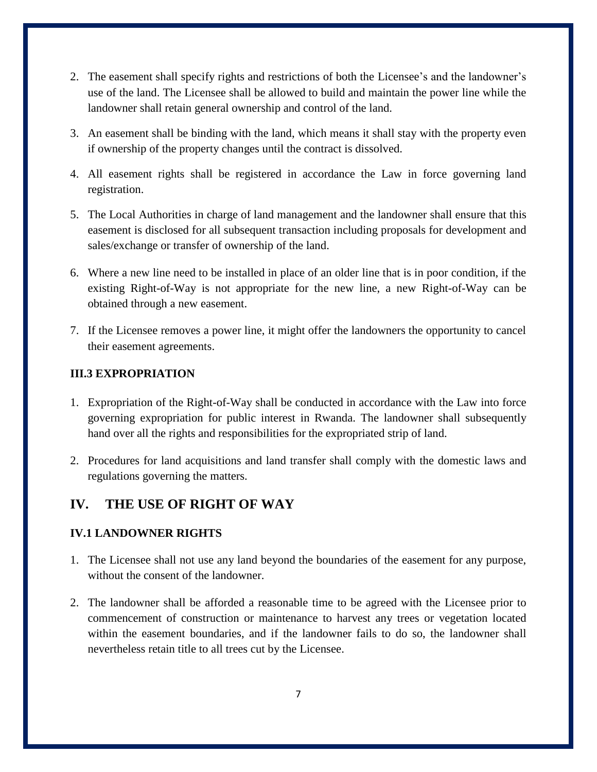- 2. The easement shall specify rights and restrictions of both the Licensee's and the landowner's use of the land. The Licensee shall be allowed to build and maintain the power line while the landowner shall retain general ownership and control of the land.
- 3. An easement shall be binding with the land, which means it shall stay with the property even if ownership of the property changes until the contract is dissolved.
- 4. All easement rights shall be registered in accordance the Law in force governing land registration.
- 5. The Local Authorities in charge of land management and the landowner shall ensure that this easement is disclosed for all subsequent transaction including proposals for development and sales/exchange or transfer of ownership of the land.
- 6. Where a new line need to be installed in place of an older line that is in poor condition, if the existing Right-of-Way is not appropriate for the new line, a new Right-of-Way can be obtained through a new easement.
- 7. If the Licensee removes a power line, it might offer the landowners the opportunity to cancel their easement agreements.

### **III.3 EXPROPRIATION**

- 1. Expropriation of the Right-of-Way shall be conducted in accordance with the Law into force governing expropriation for public interest in Rwanda. The landowner shall subsequently hand over all the rights and responsibilities for the expropriated strip of land.
- 2. Procedures for land acquisitions and land transfer shall comply with the domestic laws and regulations governing the matters.

# <span id="page-6-0"></span>**IV. THE USE OF RIGHT OF WAY**

### <span id="page-6-1"></span>**IV.1 LANDOWNER RIGHTS**

- 1. The Licensee shall not use any land beyond the boundaries of the easement for any purpose, without the consent of the landowner.
- 2. The landowner shall be afforded a reasonable time to be agreed with the Licensee prior to commencement of construction or maintenance to harvest any trees or vegetation located within the easement boundaries, and if the landowner fails to do so, the landowner shall nevertheless retain title to all trees cut by the Licensee.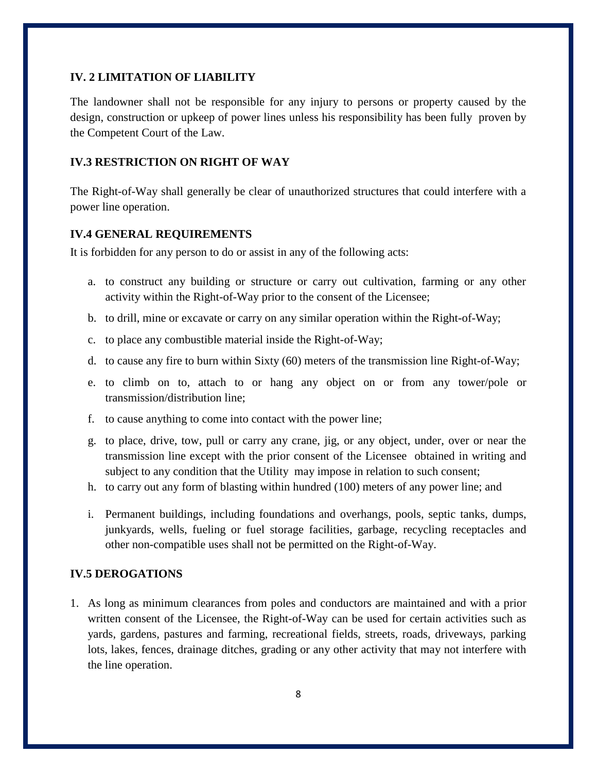#### **IV. 2 LIMITATION OF LIABILITY**

The landowner shall not be responsible for any injury to persons or property caused by the design, construction or upkeep of power lines unless his responsibility has been fully proven by the Competent Court of the Law.

#### **IV.3 RESTRICTION ON RIGHT OF WAY**

The Right-of-Way shall generally be clear of unauthorized structures that could interfere with a power line operation.

#### <span id="page-7-0"></span>**IV.4 GENERAL REQUIREMENTS**

It is forbidden for any person to do or assist in any of the following acts:

- a. to construct any building or structure or carry out cultivation, farming or any other activity within the Right-of-Way prior to the consent of the Licensee;
- b. to drill, mine or excavate or carry on any similar operation within the Right-of-Way;
- c. to place any combustible material inside the Right-of-Way;
- d. to cause any fire to burn within Sixty (60) meters of the transmission line Right-of-Way;
- e. to climb on to, attach to or hang any object on or from any tower/pole or transmission/distribution line;
- f. to cause anything to come into contact with the power line;
- g. to place, drive, tow, pull or carry any crane, jig, or any object, under, over or near the transmission line except with the prior consent of the Licensee obtained in writing and subject to any condition that the Utility may impose in relation to such consent;
- h. to carry out any form of blasting within hundred (100) meters of any power line; and
- i. Permanent buildings, including foundations and overhangs, pools, septic tanks, dumps, junkyards, wells, fueling or fuel storage facilities, garbage, recycling receptacles and other non-compatible uses shall not be permitted on the Right-of-Way.

#### **IV.5 DEROGATIONS**

1. As long as minimum clearances from poles and conductors are maintained and with a prior written consent of the Licensee, the Right-of-Way can be used for certain activities such as yards, gardens, pastures and farming, recreational fields, streets, roads, driveways, parking lots, lakes, fences, drainage ditches, grading or any other activity that may not interfere with the line operation.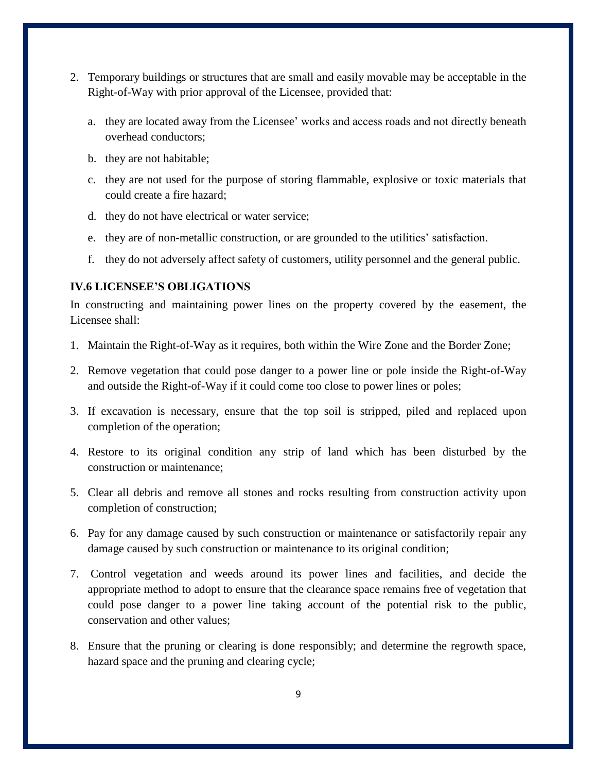- 2. Temporary buildings or structures that are small and easily movable may be acceptable in the Right-of-Way with prior approval of the Licensee, provided that:
	- a. they are located away from the Licensee' works and access roads and not directly beneath overhead conductors;
	- b. they are not habitable;
	- c. they are not used for the purpose of storing flammable, explosive or toxic materials that could create a fire hazard;
	- d. they do not have electrical or water service;
	- e. they are of non-metallic construction, or are grounded to the utilities' satisfaction.
	- f. they do not adversely affect safety of customers, utility personnel and the general public.

#### <span id="page-8-0"></span>**IV.6 LICENSEE'S OBLIGATIONS**

In constructing and maintaining power lines on the property covered by the easement, the Licensee shall:

- 1. Maintain the Right-of-Way as it requires, both within the Wire Zone and the Border Zone;
- 2. Remove vegetation that could pose danger to a power line or pole inside the Right-of-Way and outside the Right-of-Way if it could come too close to power lines or poles;
- 3. If excavation is necessary, ensure that the top soil is stripped, piled and replaced upon completion of the operation;
- 4. Restore to its original condition any strip of land which has been disturbed by the construction or maintenance;
- 5. Clear all debris and remove all stones and rocks resulting from construction activity upon completion of construction;
- 6. Pay for any damage caused by such construction or maintenance or satisfactorily repair any damage caused by such construction or maintenance to its original condition;
- 7. Control vegetation and weeds around its power lines and facilities, and decide the appropriate method to adopt to ensure that the clearance space remains free of vegetation that could pose danger to a power line taking account of the potential risk to the public, conservation and other values;
- 8. Ensure that the pruning or clearing is done responsibly; and determine the regrowth space, hazard space and the pruning and clearing cycle;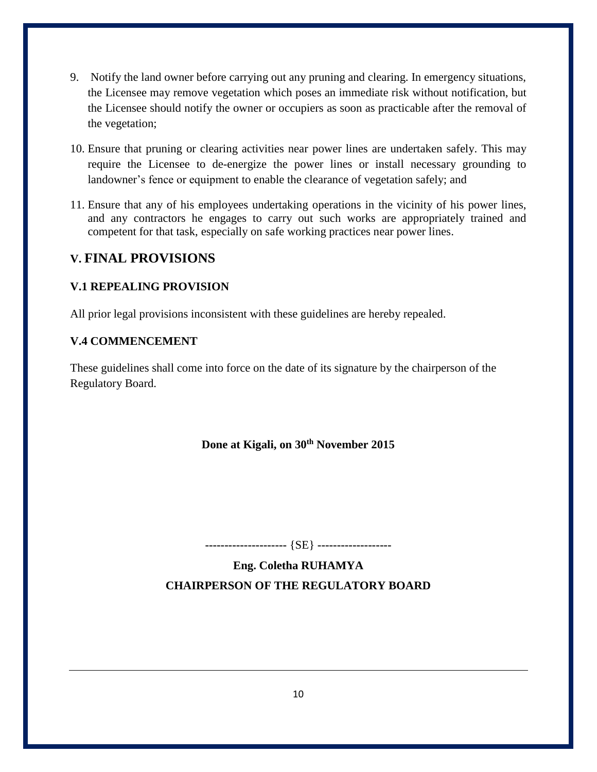- 9. Notify the land owner before carrying out any pruning and clearing. In emergency situations, the Licensee may remove vegetation which poses an immediate risk without notification, but the Licensee should notify the owner or occupiers as soon as practicable after the removal of the vegetation;
- 10. Ensure that pruning or clearing activities near power lines are undertaken safely. This may require the Licensee to de-energize the power lines or install necessary grounding to landowner's fence or equipment to enable the clearance of vegetation safely; and
- 11. Ensure that any of his employees undertaking operations in the vicinity of his power lines, and any contractors he engages to carry out such works are appropriately trained and competent for that task, especially on safe working practices near power lines.

# <span id="page-9-0"></span>**V. FINAL PROVISIONS**

# <span id="page-9-1"></span>**V.1 REPEALING PROVISION**

All prior legal provisions inconsistent with these guidelines are hereby repealed.

### <span id="page-9-2"></span>**V.4 COMMENCEMENT**

These guidelines shall come into force on the date of its signature by the chairperson of the Regulatory Board.

## **Done at Kigali, on 30th November 2015**

**---------------------** {SE} **-------------------**

**Eng. Coletha RUHAMYA CHAIRPERSON OF THE REGULATORY BOARD**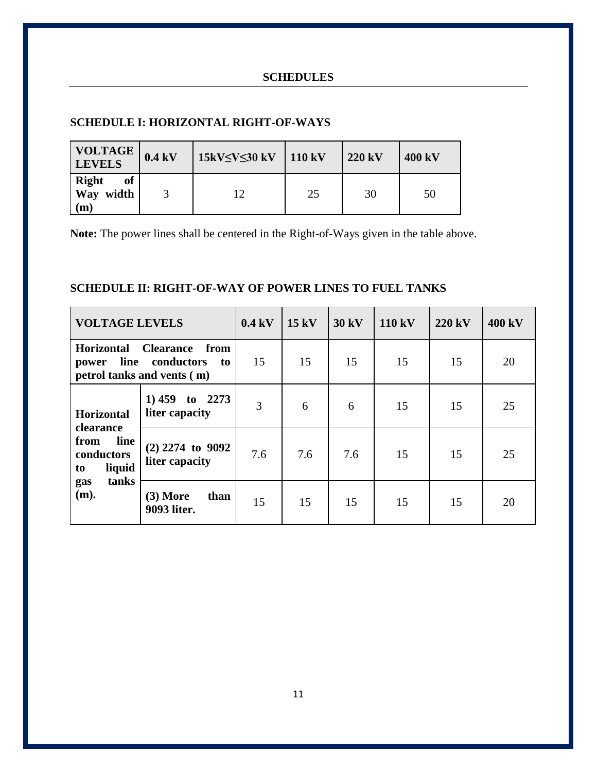## **SCHEDULES**

#### <span id="page-10-0"></span>**SCHEDULE I: HORIZONTAL RIGHT-OF-WAYS**

| <b>VOLTAGE</b><br><b>LEVELS</b>                        | 0.4 kV | 15kV $\leq$ V $\leq$ 30 kV | 110 kV | $220 \text{ kV}$ | 400 kV |
|--------------------------------------------------------|--------|----------------------------|--------|------------------|--------|
| <b>Right</b><br><b>of</b><br>Way width<br>$\mathbf{m}$ |        | 12                         | 25     | 30               | 50     |

**Note:** The power lines shall be centered in the Right-of-Ways given in the table above.

### **SCHEDULE II: RIGHT-OF-WAY OF POWER LINES TO FUEL TANKS**

| <b>VOLTAGE LEVELS</b>                                                                                       |                                      | $0.4 \text{ kV}$ | 15 kV | 30 kV | 110 kV | 220 kV | 400 kV |
|-------------------------------------------------------------------------------------------------------------|--------------------------------------|------------------|-------|-------|--------|--------|--------|
| Horizontal<br><b>Clearance</b><br>from<br>line conductors<br>to<br>power<br>petrol tanks and vents (m)      |                                      | 15               | 15    | 15    | 15     | 15     | 20     |
| <b>Horizontal</b><br><b>clearance</b><br>line<br>from<br>conductors<br>liquid<br>to<br>tanks<br>gas<br>(m). | 1)459<br>to $2273$<br>liter capacity | 3                | 6     | 6     | 15     | 15     | 25     |
|                                                                                                             | $(2)$ 2274 to 9092<br>liter capacity | 7.6              | 7.6   | 7.6   | 15     | 15     | 25     |
|                                                                                                             | $(3)$ More<br>than<br>9093 liter.    | 15               | 15    | 15    | 15     | 15     | 20     |